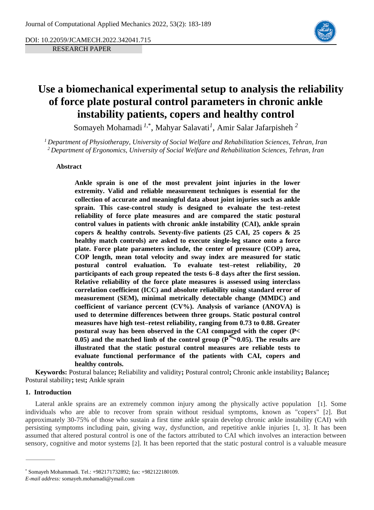DOI: 10.22059/JCAMECH.2022.342041.715

RESEARCH PAPER



# **Use a biomechanical experimental setup to analysis the reliability of force plate postural control parameters in chronic ankle instability patients, copers and healthy control**

Somayeh Mohamadi *<sup>1</sup>*,\* , Mahyar Salavati*<sup>1</sup>* , Amir Salar Jafarpisheh *<sup>2</sup>*

*<sup>1</sup> Department of Physiotherapy, University of Social Welfare and Rehabilitation Sciences, Tehran, Iran <sup>2</sup> Department of Ergonomics, University of Social Welfare and Rehabilitation Sciences, Tehran, Iran*

# **Abstract**

**Ankle sprain is one of the most prevalent joint injuries in the lower extremity. Valid and reliable measurement techniques is essential for the collection of accurate and meaningful data about joint injuries such as ankle sprain. This case-control study is designed to evaluate the test–retest reliability of force plate measures and are compared the static postural control values in patients with chronic ankle instability (CAI), ankle sprain copers & healthy controls. Seventy-five patients (25 CAI, 25 copers & 25 healthy match controls) are asked to execute single-leg stance onto a force plate. Force plate parameters include, the center of pressure (COP) area, COP length, mean total velocity and sway index are measured for static postural control evaluation. To evaluate test–retest reliability, 20 participants of each group repeated the tests 6–8 days after the first session. Relative reliability of the force plate measures is assessed using interclass correlation coefficient (ICC) and absolute reliability using standard error of measurement (SEM), minimal metrically detectable change (MMDC) and coefficient of variance percent (CV%). Analysis of variance (ANOVA) is used to determine differences between three groups. Static postural control measures have high test–retest reliability, ranging from 0.73 to 0.88. Greater postural sway has been observed in the CAI compared with the coper (P< 0.05)** and the matched limb of the control group ( $P \sim 0.05$ ). The results are **illustrated that the static postural control measures are reliable tests to evaluate functional performance of the patients with CAI, copers and healthy controls.** 

**Keywords:** Postural balance**;** Reliability and validity**;** Postural control**;** Chronic ankle instability**;** Balance**;** Postural stability**;** test**;** Ankle sprain

# **1. Introduction**

Lateral ankle sprains are an extremely common injury among the physically active population [[1](#page-5-0)]. Some individuals who are able to recover from sprain without residual symptoms, known as "copers" [[2](#page-5-1)]. But approximately 30-75% of those who sustain a first time ankle sprain develop chronic ankle instability (CAI) with persisting symptoms including pain, giving way, dysfunction, and repetitive ankle injuries [[1](#page-5-0), [3](#page-5-2)]. It has been assumed that altered postural control is one of the factors attributed to CAI which involves an interaction between sensory, cognitive and motor systems [[2](#page-5-1)]. It has been reported that the static postural control is a valuable measure

<sup>\*</sup> Somayeh Mohammadi. Tel.: +982171732892; fax: +982122180109.

*E-mail address:* somayeh.mohamadi@ymail.com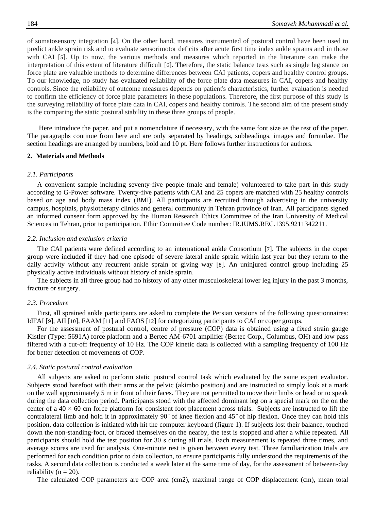of somatosensory integration [[4](#page-5-3)]. On the other hand, measures instrumented of postural control have been used to predict ankle sprain risk and to evaluate sensorimotor deficits after acute first time index ankle sprains and in those with CAI [[5](#page-5-4)]. Up to now, the various methods and measures which reported in the literature can make the interpretation of this extent of literature difficult [[6](#page-5-5)]. Therefore, the static balance tests such as single leg stance on force plate are valuable methods to determine differences between CAI patients, copers and healthy control groups. To our knowledge, no study has evaluated reliability of the force plate data measures in CAI, copers and healthy controls. Since the reliability of outcome measures depends on patient's characteristics, further evaluation is needed to confirm the efficiency of force plate parameters in these populations. Therefore, the first purpose of this study is the surveying reliability of force plate data in CAI, copers and healthy controls. The second aim of the present study is the comparing the static postural stability in these three groups of people.

Here introduce the paper, and put a nomenclature if necessary, with the same font size as the rest of the paper. The paragraphs continue from here and are only separated by headings, subheadings, images and formulae. The section headings are arranged by numbers, bold and 10 pt. Here follows further instructions for authors.

## **2. Materials and Methods**

## *2.1. Participants*

A convenient sample including seventy-five people (male and female) volunteered to take part in this study according to G-Power software. Twenty-five patients with CAI and 25 copers are matched with 25 healthy controls based on age and body mass index (BMI). All participants are recruited through advertising in the university campus, hospitals, physiotherapy clinics and general community in Tehran province of Iran. All participants signed an informed consent form approved by the Human Research Ethics Committee of the Iran University of Medical Sciences in Tehran, prior to participation. Ethic Committee Code number: IR.IUMS.REC.1395.9211342211.

#### *2.2. Inclusion and exclusion criteria*

The CAI patients were defined according to an international ankle Consortium [[7](#page-5-6)]. The subjects in the coper group were included if they had one episode of severe lateral ankle sprain within last year but they return to the daily activity without any recurrent ankle sprain or giving way [[8](#page-5-7)]. An uninjured control group including 25 physically active individuals without history of ankle sprain.

The subjects in all three group had no history of any other musculoskeletal lower leg injury in the past 3 months, fracture or surgery.

#### *2.3. Procedure*

First, all sprained ankle participants are asked to complete the Persian versions of the following questionnaires: IdFAI [[9](#page-5-8)], AII [[10](#page-5-9)], FAAM [[11](#page-5-10)] and FAOS [[12](#page-5-11)] for categorizing participants to CAI or coper groups.

For the assessment of postural control, centre of pressure (COP) data is obtained using a fixed strain gauge Kistler (Type: 5691A) force platform and a Bertec AM-6701 amplifier (Bertec Corp., Columbus, OH) and low pass filtered with a cut-off frequency of 10 Hz. The COP kinetic data is collected with a sampling frequency of 100 Hz for better detection of movements of COP.

#### *2.4. Static postural control evaluation*

All subjects are asked to perform static postural control task which evaluated by the same expert evaluator. Subjects stood barefoot with their arms at the pelvic (akimbo position) and are instructed to simply look at a mark on the wall approximately 5 m in front of their faces. They are not permitted to move their limbs or head or to speak during the data collection period. Participants stood with the affected dominant leg on a special mark on the on the center of a  $40 \times 60$  cm force platform for consistent foot placement across trials. Subjects are instructed to lift the contralateral limb and hold it in approximately 90° of knee flexion and 45° of hip flexion. Once they can hold this position, data collection is initiated with hit the computer keyboard (figure 1). If subjects lost their balance, touched down the non-standing-foot, or braced themselves on the nearby, the test is stopped and after a while repeated. All participants should hold the test position for 30 s during all trials. Each measurement is repeated three times, and average scores are used for analysis. One-minute rest is given between every test. Three familiarization trials are performed for each condition prior to data collection, to ensure participants fully understood the requirements of the tasks. A second data collection is conducted a week later at the same time of day, for the assessment of between-day reliability ( $n = 20$ ).

The calculated COP parameters are COP area (cm2), maximal range of COP displacement (cm), mean total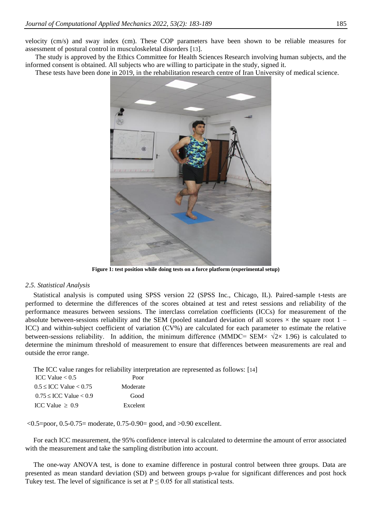velocity (cm/s) and sway index (cm). These COP parameters have been shown to be reliable measures for assessment of postural control in musculoskeletal disorders [[13](#page-5-12)].

The study is approved by the Ethics Committee for Health Sciences Research involving human subjects, and the informed consent is obtained. All subjects who are willing to participate in the study, signed it.

These tests have been done in 2019, in the rehabilitation research centre of Iran University of medical science.



**Figure 1: test position while doing tests on a force platform (experimental setup)**

#### *2.5. Statistical Analysis*

Statistical analysis is computed using SPSS version 22 (SPSS Inc., Chicago, IL). Paired-sample t-tests are performed to determine the differences of the scores obtained at test and retest sessions and reliability of the performance measures between sessions. The interclass correlation coefficients (ICCs) for measurement of the absolute between-sessions reliability and the SEM (pooled standard deviation of all scores  $\times$  the square root  $1 -$ ICC) and within-subject coefficient of variation (CV%) are calculated for each parameter to estimate the relative between-sessions reliability. In addition, the minimum difference (MMDC= SEM×  $\sqrt{2} \times 1.96$ ) is calculated to determine the minimum threshold of measurement to ensure that differences between measurements are real and outside the error range.

The ICC value ranges for reliability interpretation are represented as follows: [[14](#page-5-13)]

| ICC Value $< 0.5$             | Poor     |
|-------------------------------|----------|
| $0.5 \leq$ ICC Value $< 0.75$ | Moderate |
| $0.75 \leq$ ICC Value $< 0.9$ | Good     |
| ICC Value $\geq 0.9$          | Excelent |

 $\leq 0.5$ =poor, 0.5-0.75= moderate, 0.75-0.90= good, and  $>0.90$  excellent.

For each ICC measurement, the 95% confidence interval is calculated to determine the amount of error associated with the measurement and take the sampling distribution into account.

The one-way ANOVA test, is done to examine difference in postural control between three groups. Data are presented as mean standard deviation (SD) and between groups p-value for significant differences and post hock Tukey test. The level of significance is set at  $P \le 0.05$  for all statistical tests.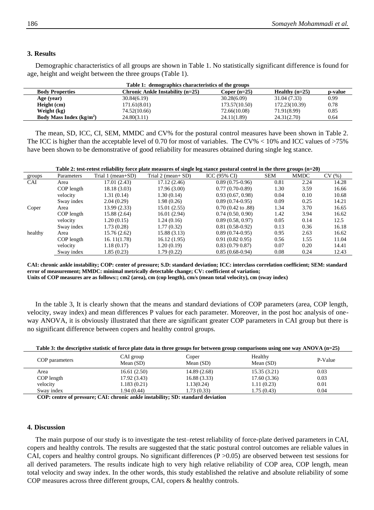## **3. Results**

Demographic characteristics of all groups are shown in Table 1. No statistically significant difference is found for age, height and weight between the three groups (Table 1).

| Table 1: demographics characteristics of the groups |                                                      |                |                  |         |  |
|-----------------------------------------------------|------------------------------------------------------|----------------|------------------|---------|--|
| <b>Body Properties</b>                              | <b>Chronic Ankle Instability <math>(n=25)</math></b> | Coper $(n=25)$ | Healthy $(n=25)$ | p-value |  |
| Age (year)                                          | 30.84(6.19)                                          | 30.28(6.09)    | 31.04 (7.33)     | 0.99    |  |
| Height (cm)                                         | 171.61(8.01)                                         | 173.57(10.50)  | 172.23(10.39)    | 0.78    |  |
| Weight (kg)                                         | 74.52(10.66)                                         | 72.66(10.08)   | 71.91(8.99)      | 0.85    |  |
| Body Mass Index $(kg/m2)$                           | 24.80(3.11)                                          | 24.11(1.89)    | 24.31(2.70)      | 0.64    |  |

The mean, SD, ICC, CI, SEM, MMDC and CV% for the postural control measures have been shown in Table 2. The ICC is higher than the acceptable level of 0.70 for most of variables. The CV% < 10% and ICC values of >75% have been shown to be demonstrative of good reliability for measures obtained during single leg stance.

| Table 2: test-retest reliability force plate measures of single leg stance postural control in the three groups $(n=20)$ |            |                   |                       |                              |            |             |       |
|--------------------------------------------------------------------------------------------------------------------------|------------|-------------------|-----------------------|------------------------------|------------|-------------|-------|
| groups                                                                                                                   | Parameters | Trial 1 (mean+SD) | Trial 2 (mean+ $SD$ ) | ICC $(95\% \text{ CI})$      | <b>SEM</b> | <b>MMDC</b> | CV(%) |
| CAI                                                                                                                      | Area       | 17.01(2.43)       | 17.12 (2.46)          | $0.89(0.75-0.96)$            | 0.81       | 2.24        | 14.28 |
|                                                                                                                          | COP length | 18.18 (3.03)      | 17.96 (3.00)          | $0.77(0.70-0.89)$            | 1.30       | 3.59        | 16.66 |
|                                                                                                                          | velocity   | 1.31(0.14)        | 1.30(0.14)            | 0.93(0.67, 0.98)             | 0.04       | 0.10        | 10.68 |
|                                                                                                                          | Sway index | 2.04(0.29)        | 1.98 (0.26)           | $0.89(0.74-0.95)$            | 0.09       | 0.25        | 14.21 |
| Coper                                                                                                                    | Area       | 13.99(2.33)       | 15.01 (2.55)          | $0.70(0.42 \text{ to } .88)$ | 1.34       | 3.70        | 16.65 |
|                                                                                                                          | COP length | 15.88 (2.64)      | 16.01 (2.94)          | 0.74(0.50, 0.90)             | 1.42       | 3.94        | 16.62 |
|                                                                                                                          | velocity   | 1.20(0.15)        | 1.24(0.16)            | 0.89(0.58, 0.97)             | 0.05       | 0.14        | 12.5  |
|                                                                                                                          | Sway index | 1.73(0.28)        | 1.77(0.32)            | $0.81(0.58-0.92)$            | 0.13       | 0.36        | 16.18 |
| healthy                                                                                                                  | Area       | 15.76 (2.62)      | 15.88 (3.13)          | $0.89(0.74-0.95)$            | 0.95       | 2.63        | 16.62 |
|                                                                                                                          | COP length | 16.11(1.78)       | 16.12 (1.95)          | 0.91(0.820.95)               | 0.56       | 1.55        | 11.04 |
|                                                                                                                          | velocity   | 1.18(0.17)        | 1.20(0.19)            | 0.83(0.790.87)               | 0.07       | 0.20        | 14.41 |
|                                                                                                                          | Sway index | 1.85(0.23)        | 1.79 (0.22)           | $0.85(0.68-0.94)$            | 0.08       | 0.24        | 12.43 |

**CAI: chronic ankle instability; COP: center of pressure; S.D: standard deviation; ICC: interclass correlation coefficient; SEM: standard error of measurement; MMDC: minimal metrically detectable change; CV: coefficient of variation; Units of COP measures are as follows:; cm2 (area), cm (cop length), cm/s (mean total velocity), cm (sway index)**

In the table 3, It is clearly shown that the means and standard deviations of COP parameters (area, COP length, velocity, sway index) and mean differences P values for each parameter. Moreover, in the post hoc analysis of oneway ANOVA, it is obviously illustrated that there are significant greater COP parameters in CAI group but there is no significant difference between copers and healthy control groups.

| Table 3: the descriptive statistic of force plate data in three groups for between group comparisons using one way ANOVA $(n=25)$ |  |
|-----------------------------------------------------------------------------------------------------------------------------------|--|
|-----------------------------------------------------------------------------------------------------------------------------------|--|

| COP parameters | CAI group<br>Mean $(SD)$ | Coper<br>Mean $(SD)$ | Healthy<br>Mean $(SD)$ | P-Value |
|----------------|--------------------------|----------------------|------------------------|---------|
| Area           | 16.61(2.50)              | 14.89 (2.68)         | 15.35(3.21)            | 0.03    |
| COP length     | 17.92 (3.43)             | 16.88 (3.33)         | 17.60(3.36)            | 0.03    |
| velocity       | 1.183(0.21)              | 1.13(0.24)           | 1.11(0.23)             | 0.01    |
| Sway index     | 1.94 (0.44)              | 1.73 (0.33)          | 1.75 (0.43)            | 0.04    |

**COP: centre of pressure; CAI: chronic ankle instability; SD: standard deviation** 

#### **4. Discussion**

The main purpose of our study is to investigate the test–retest reliability of force-plate derived parameters in CAI, copers and healthy controls. The results are suggested that the static postural control outcomes are reliable values in CAI, copers and healthy control groups. No significant differences  $(P > 0.05)$  are observed between test sessions for all derived parameters. The results indicate high to very high relative reliability of COP area, COP length, mean total velocity and sway index. In the other words, this study established the relative and absolute reliability of some COP measures across three different groups, CAI, copers & healthy controls.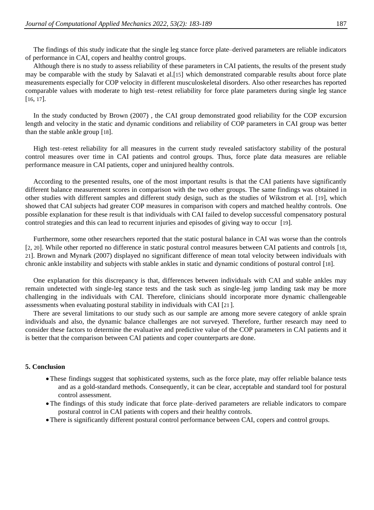The findings of this study indicate that the single leg stance force plate–derived parameters are reliable indicators of performance in CAI, copers and healthy control groups.

Although there is no study to assess reliability of these parameters in CAI patients, the results of the present study may be comparable with the study by Salavati et al.[15] which demonstrated comparable results about force plate measurements especially for COP velocity in different musculoskeletal disorders. Also other researches has reported comparable values with moderate to high test–retest reliability for force plate parameters during single leg stance [16, 17].

In the study conducted by Brown (2007) , the CAI group demonstrated good reliability for the COP excursion length and velocity in the static and dynamic conditions and reliability of COP parameters in CAI group was better than the stable ankle group [18].

High test–retest reliability for all measures in the current study revealed satisfactory stability of the postural control measures over time in CAI patients and control groups. Thus, force plate data measures are reliable performance measure in CAI patients, coper and uninjured healthy controls.

According to the presented results, one of the most important results is that the CAI patients have significantly different balance measurement scores in comparison with the two other groups. The same findings was obtained in other studies with different samples and different study design, such as the studies of Wikstrom et al. [19], which showed that CAI subjects had greater COP measures in comparison with copers and matched healthy controls. One possible explanation for these result is that individuals with CAI failed to develop successful compensatory postural control strategies and this can lead to recurrent injuries and episodes of giving way to occur [19].

Furthermore, some other researchers reported that the static postural balance in CAI was worse than the controls [2, 20]. While other reported no difference in static postural control measures between CAI patients and controls [18, 21]. Brown and Mynark (2007) displayed no significant difference of mean total velocity between individuals with chronic ankle instability and subjects with stable ankles in static and dynamic conditions of postural control [18].

One explanation for this discrepancy is that, differences between individuals with CAI and stable ankles may remain undetected with single-leg stance tests and the task such as single-leg jump landing task may be more challenging in the individuals with CAI. Therefore, clinicians should incorporate more dynamic challengeable assessments when evaluating postural stability in individuals with CAI [21].

There are several limitations to our study such as our sample are among more severe category of ankle sprain individuals and also, the dynamic balance challenges are not surveyed. Therefore, further research may need to consider these factors to determine the evaluative and predictive value of the COP parameters in CAI patients and it is better that the comparison between CAI patients and coper counterparts are done.

#### **5. Conclusion**

- These findings suggest that sophisticated systems, such as the force plate, may offer reliable balance tests and as a gold-standard methods. Consequently, it can be clear, acceptable and standard tool for postural control assessment.
- The findings of this study indicate that force plate–derived parameters are reliable indicators to compare postural control in CAI patients with copers and their healthy controls.
- There is significantly different postural control performance between CAI, copers and control groups.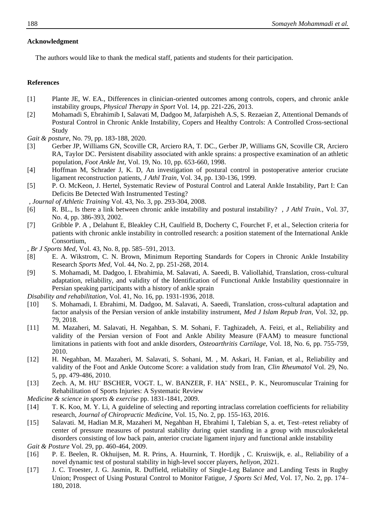# **Acknowledgment**

The authors would like to thank the medical staff, patients and students for their participation.

# **References**

- <span id="page-5-0"></span>[1] Plante JE, W. EA., Differences in clinician-oriented outcomes among controls, copers, and chronic ankle instability groups, *Physical Therapy in Sport* Vol. 14, pp. 221-226, 2013.
- <span id="page-5-1"></span>[2] Mohamadi S, Ebrahimib I, Salavati M, Dadgoo M, Jafarpisheh A.S, S. Rezaeian Z, Attentional Demands of Postural Control in Chronic Ankle Instability, Copers and Healthy Controls: A Controlled Cross-sectional Study
- *Gait & posture*, No. 79, pp. 183-188, 2020.
- <span id="page-5-2"></span>[3] Gerber JP, Williams GN, Scoville CR, Arciero RA, T. DC., Gerber JP, Williams GN, Scoville CR, Arciero RA, Taylor DC. Persistent disability associated with ankle sprains: a prospective examination of an athletic population, *Foot Ankle Int,* Vol. 19, No. 10, pp. 653-660, 1998.
- <span id="page-5-3"></span>[4] Hoffman M, Schrader J, K. D, An investigation of postural control in postoperative anterior cruciate ligament reconstruction patients, *J Athl Train,* Vol. 34, pp. 130-136, 1999.
- <span id="page-5-4"></span>[5] P. O. McKeon, J. Hertel, Systematic Review of Postural Control and Lateral Ankle Instability, Part I: Can Deficits Be Detected With Instrumented Testing?
- , *Journal of Athletic Training* Vol. 43, No. 3, pp. 293-304, 2008.
- <span id="page-5-5"></span>[6] R. BL., Is there a link between chronic ankle instability and postural instability? , *J Athl Train.,* Vol. 37, No. 4, pp. 386-393, 2002.
- <span id="page-5-6"></span>[7] Gribble P. A , Delahunt E, Bleakley C.H, Caulfield B, Docherty C, Fourchet F, et al., Selection criteria for patients with chronic ankle instability in controlled research: a position statement of the International Ankle Consortium,
- , *Br J Sports Med,* Vol. 43, No. 8, pp. 585–591, 2013.
- <span id="page-5-7"></span>[8] E. A. Wikstrom, C. N. Brown, Minimum Reporting Standards for Copers in Chronic Ankle Instability Research *Sports Med,* Vol. 44, No. 2, pp. 251-268, 2014.
- <span id="page-5-8"></span>[9] S. Mohamadi, M. Dadgoo, I. Ebrahimia, M. Salavati, A. Saeedi, B. Valiollahid, Translation, cross-cultural adaptation, reliability, and validity of the Identification of Functional Ankle Instability questionnaire in Persian speaking participants with a history of ankle sprain
- *Disability and rehabilitation,* Vol. 41, No. 16, pp. 1931-1936, 2018.
- <span id="page-5-9"></span>[10] S. Mohamadi, I. Ebrahimi, M. Dadgoo, M. Salavati, A. Saeedi, Translation, cross-cultural adaptation and factor analysis of the Persian version of ankle instability instrument, *Med J Islam Repub Iran,* Vol. 32, pp. 79, 2018.
- <span id="page-5-10"></span>[11] M. Mazaheri, M. Salavati, H. Negahban, S. M. Sohani, F. Taghizadeh, A. Feizi, et al., Reliability and validity of the Persian version of Foot and Ankle Ability Measure (FAAM) to measure functional limitations in patients with foot and ankle disorders, *Osteoarthritis Cartilage,* Vol. 18, No. 6, pp. 755-759, 2010.
- <span id="page-5-11"></span>[12] H. Negahban, M. Mazaheri, M. Salavati, S. Sohani, M. , M. Askari, H. Fanian, et al., Reliability and validity of the Foot and Ankle Outcome Score: a validation study from Iran, *Clin Rheumatol* Vol. 29, No. 5, pp. 479-486, 2010.
- <span id="page-5-12"></span>[13] Zech. A, M. HU¨ BSCHER, VOGT. L, W. BANZER, F. HA¨ NSEL, P. K., Neuromuscular Training for Rehabilitation of Sports Injuries: A Systematic Review

*Medicine & science in sports & exercise* pp. 1831-1841, 2009.

- <span id="page-5-13"></span>[14] T. K. Koo, M. Y. Li, A guideline of selecting and reporting intraclass correlation coefficients for reliability research, *Journal of Chiropractic Medicine,* Vol. 15, No. 2, pp. 155-163, 2016.
- [15] Salavati. M, Hadian M.R, Mazaheri M, Negahban H, Ebrahimi I, Talebian S, a. et, Test–retest reliabty of center of pressure measures of postural stability during quiet standing in a group with musculoskeletal disorders consisting of low back pain, anterior cruciate ligament injury and functional ankle instability
- *Gait & Posture* Vol. 29, pp. 460-464, 2009.
- [16] P. E. Beelen, R. Okhuijsen, M. R. Prins, A. Huurnink, T. Hordijk , C. Kruiswijk, e. al., Reliability of a novel dynamic test of postural stability in high-level soccer players, *heliyon*, 2021.
- [17] J. C. Troester, J. G. Jasmin, R. Duffield, reliability of Single-Leg Balance and Landing Tests in Rugby Union; Prospect of Using Postural Control to Monitor Fatigue, *J Sports Sci Med,* Vol. 17, No. 2, pp. 174– 180, 2018.